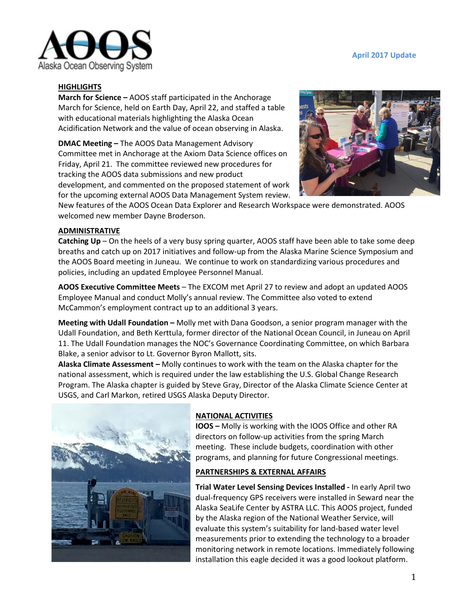



### **HIGHLIGHTS**

**March for Science –** AOOS staff participated in the Anchorage March for Science, held on Earth Day, April 22, and staffed a table with educational materials highlighting the Alaska Ocean Acidification Network and the value of ocean observing in Alaska.

**DMAC Meeting –** The AOOS Data Management Advisory Committee met in Anchorage at the Axiom Data Science offices on Friday, April 21. The committee reviewed new procedures for tracking the AOOS data submissions and new product development, and commented on the proposed statement of work for the upcoming external AOOS Data Management System review.



New features of the AOOS Ocean Data Explorer and Research Workspace were demonstrated. AOOS welcomed new member Dayne Broderson.

### **ADMINISTRATIVE**

**Catching Up** – On the heels of a very busy spring quarter, AOOS staff have been able to take some deep breaths and catch up on 2017 initiatives and follow-up from the Alaska Marine Science Symposium and the AOOS Board meeting in Juneau. We continue to work on standardizing various procedures and policies, including an updated Employee Personnel Manual.

**AOOS Executive Committee Meets** – The EXCOM met April 27 to review and adopt an updated AOOS Employee Manual and conduct Molly's annual review. The Committee also voted to extend McCammon's employment contract up to an additional 3 years.

**Meeting with Udall Foundation –** Molly met with Dana Goodson, a senior program manager with the Udall Foundation, and Beth Kerttula, former director of the National Ocean Council, in Juneau on April 11. The Udall Foundation manages the NOC's Governance Coordinating Committee, on which Barbara Blake, a senior advisor to Lt. Governor Byron Mallott, sits.

**Alaska Climate Assessment –** Molly continues to work with the team on the Alaska chapter for the national assessment, which is required under the law establishing the U.S. Global Change Research Program. The Alaska chapter is guided by Steve Gray, Director of the Alaska Climate Science Center at USGS, and Carl Markon, retired USGS Alaska Deputy Director.



# **NATIONAL ACTIVITIES**

**IOOS –** Molly is working with the IOOS Office and other RA directors on follow-up activities from the spring March meeting. These include budgets, coordination with other programs, and planning for future Congressional meetings.

### **PARTNERSHIPS & EXTERNAL AFFAIRS**

**Trial Water Level Sensing Devices Installed -** In early April two dual-frequency GPS receivers were installed in Seward near the Alaska SeaLife Center by ASTRA LLC. This AOOS project, funded by the Alaska region of the National Weather Service, will evaluate this system's suitability for land-based water level measurements prior to extending the technology to a broader monitoring network in remote locations. Immediately following installation this eagle decided it was a good lookout platform.